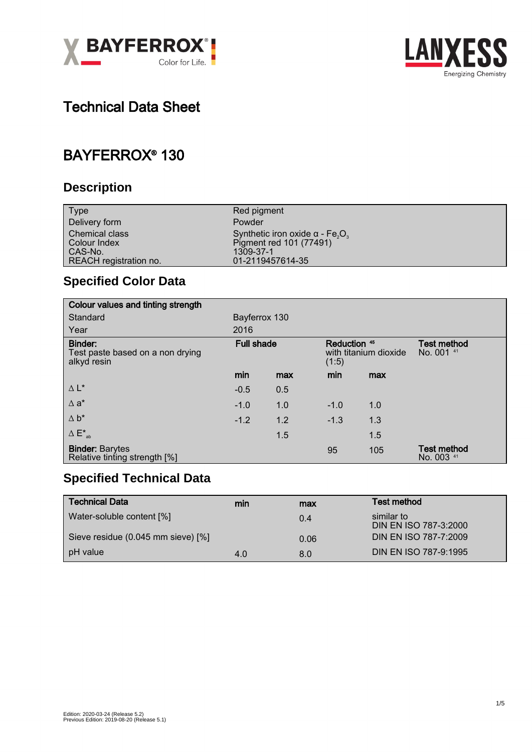



# Technical Data Sheet

# BAYFERROX® 130

### **Description**

| <b>Type</b>                           | Red pigment                                                                               |
|---------------------------------------|-------------------------------------------------------------------------------------------|
| Delivery form                         | Powder                                                                                    |
| <b>Chemical class</b><br>Colour Index | Synthetic iron oxide $\alpha$ - Fe <sub>2</sub> O <sub>3</sub><br>Pigment red 101 (77491) |
| CAS-No.                               | 1309-37-1                                                                                 |
| REACH registration no.                | 01-2119457614-35                                                                          |

### **Specified Color Data**

| Colour values and tinting strength                         |                   |     |                                                |     |                                  |
|------------------------------------------------------------|-------------------|-----|------------------------------------------------|-----|----------------------------------|
| Standard                                                   | Bayferrox 130     |     |                                                |     |                                  |
| Year                                                       | 2016              |     |                                                |     |                                  |
| Binder:<br>Test paste based on a non drying<br>alkyd resin | <b>Full shade</b> |     | Reduction 45<br>with titanium dioxide<br>(1:5) |     | <b>Test method</b><br>No. 001 41 |
|                                                            | min               | max | min                                            | max |                                  |
| $\Delta L^*$                                               | $-0.5$            | 0.5 |                                                |     |                                  |
| $\Delta$ a <sup>*</sup>                                    | $-1.0$            | 1.0 | $-1.0$                                         | 1.0 |                                  |
| $\Delta b^*$                                               | $-1.2$            | 1.2 | $-1.3$                                         | 1.3 |                                  |
| $\Delta E^*_{ab}$                                          |                   | 1.5 |                                                | 1.5 |                                  |
| <b>Binder: Barytes</b><br>Relative tinting strength [%]    |                   |     | 95                                             | 105 | <b>Test method</b><br>No. 003 41 |

### **Specified Technical Data**

| <b>Technical Data</b>              | min | max  | <b>Test method</b>                  |
|------------------------------------|-----|------|-------------------------------------|
| Water-soluble content [%]          |     | 0.4  | similar to<br>DIN EN ISO 787-3:2000 |
| Sieve residue (0.045 mm sieve) [%] |     | 0.06 | DIN EN ISO 787-7:2009               |
| pH value                           | 4.0 | 8.0  | DIN EN ISO 787-9:1995               |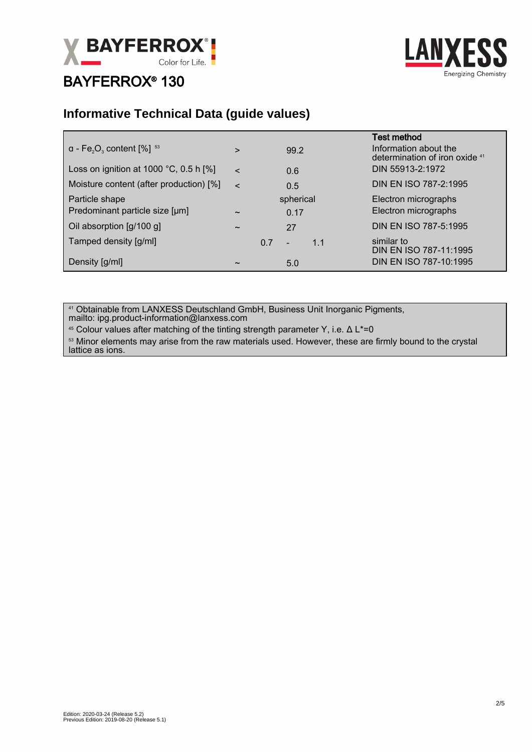



#### **Informative Technical Data (guide values)**

| $a - Fe2O3$ content [%] $53$                     | $\geq$                |     | 99.2                  | <b>Test method</b><br>Information about the<br>determination of iron oxide 41 |
|--------------------------------------------------|-----------------------|-----|-----------------------|-------------------------------------------------------------------------------|
| Loss on ignition at 1000 $^{\circ}$ C, 0.5 h [%] | $\epsilon$            |     | 0.6                   | DIN 55913-2:1972                                                              |
| Moisture content (after production) [%]          | $\epsilon$            |     | 0.5                   | DIN EN ISO 787-2:1995                                                         |
| Particle shape                                   |                       |     | spherical             | Electron micrographs                                                          |
| Predominant particle size [µm]                   | $\tilde{\phantom{a}}$ |     | 0.17                  | Electron micrographs                                                          |
| Oil absorption [g/100 g]                         | $\tilde{\phantom{a}}$ |     | 27                    | DIN EN ISO 787-5:1995                                                         |
| Tamped density [g/ml]                            |                       | 0.7 | 1.1<br>$\overline{a}$ | similar to<br>DIN EN ISO 787-11:1995                                          |
| Density [g/ml]                                   | $\tilde{}$            |     | 5.0                   | DIN EN ISO 787-10:1995                                                        |

<sup>41</sup> Obtainable from LANXESS Deutschland GmbH, Business Unit Inorganic Pigments, mailto: ipg.product-information@lanxess.com

<sup>45</sup> Colour values after matching of the tinting strength parameter Y, i.e.  $Δ L*=0$ 

<sup>53</sup> Minor elements may arise from the raw materials used. However, these are firmly bound to the crystal lattice as ions.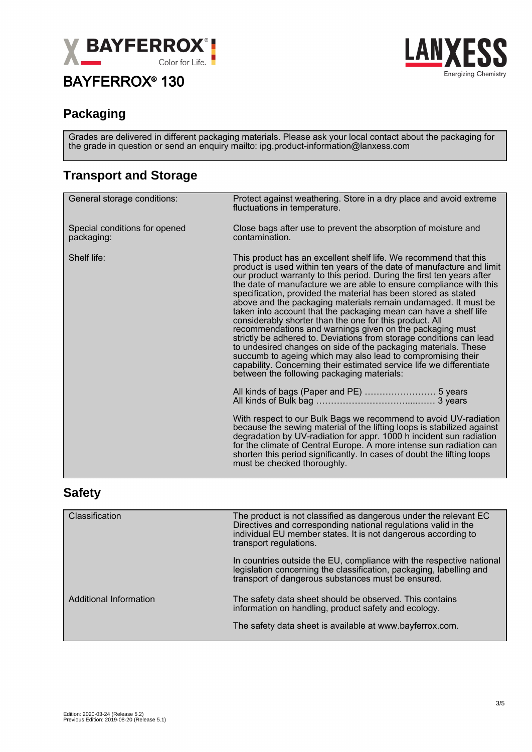



#### **Packaging**

Grades are delivered in different packaging materials. Please ask your local contact about the packaging for the grade in question or send an enquiry mailto: ipg.product-information@lanxess.com

### **Transport and Storage**

| General storage conditions:                 | Protect against weathering. Store in a dry place and avoid extreme<br>fluctuations in temperature.                                                                                                                                                                                                                                                                                                                                                                                                                                                                                                                                                                                                                                                                                                                                                                                                                                                    |
|---------------------------------------------|-------------------------------------------------------------------------------------------------------------------------------------------------------------------------------------------------------------------------------------------------------------------------------------------------------------------------------------------------------------------------------------------------------------------------------------------------------------------------------------------------------------------------------------------------------------------------------------------------------------------------------------------------------------------------------------------------------------------------------------------------------------------------------------------------------------------------------------------------------------------------------------------------------------------------------------------------------|
| Special conditions for opened<br>packaging: | Close bags after use to prevent the absorption of moisture and<br>contamination.                                                                                                                                                                                                                                                                                                                                                                                                                                                                                                                                                                                                                                                                                                                                                                                                                                                                      |
| Shelf life:                                 | This product has an excellent shelf life. We recommend that this<br>product is used within ten years of the date of manufacture and limit<br>our product warranty to this period. During the first ten years after<br>the date of manufacture we are able to ensure compliance with this<br>specification, provided the material has been stored as stated<br>above and the packaging materials remain undamaged. It must be<br>taken into account that the packaging mean can have a shelf life<br>considerably shorter than the one for this product. All<br>recommendations and warnings given on the packaging must<br>strictly be adhered to. Deviations from storage conditions can lead<br>to undesired changes on side of the packaging materials. These<br>succumb to ageing which may also lead to compromising their<br>capability. Concerning their estimated service life we differentiate<br>between the following packaging materials: |
|                                             |                                                                                                                                                                                                                                                                                                                                                                                                                                                                                                                                                                                                                                                                                                                                                                                                                                                                                                                                                       |
|                                             | With respect to our Bulk Bags we recommend to avoid UV-radiation<br>because the sewing material of the lifting loops is stabilized against<br>degradation by UV-radiation for appr. 1000 h incident sun radiation<br>for the climate of Central Europe. A more intense sun radiation can<br>shorten this period significantly. In cases of doubt the lifting loops<br>must be checked thoroughly.                                                                                                                                                                                                                                                                                                                                                                                                                                                                                                                                                     |

#### **Safety**

| Classification         | The product is not classified as dangerous under the relevant EC<br>Directives and corresponding national regulations valid in the<br>individual EU member states. It is not dangerous according to<br>transport regulations. |
|------------------------|-------------------------------------------------------------------------------------------------------------------------------------------------------------------------------------------------------------------------------|
|                        | In countries outside the EU, compliance with the respective national<br>legislation concerning the classification, packaging, labelling and<br>transport of dangerous substances must be ensured.                             |
| Additional Information | The safety data sheet should be observed. This contains<br>information on handling, product safety and ecology.                                                                                                               |
|                        | The safety data sheet is available at www.bayferrox.com.                                                                                                                                                                      |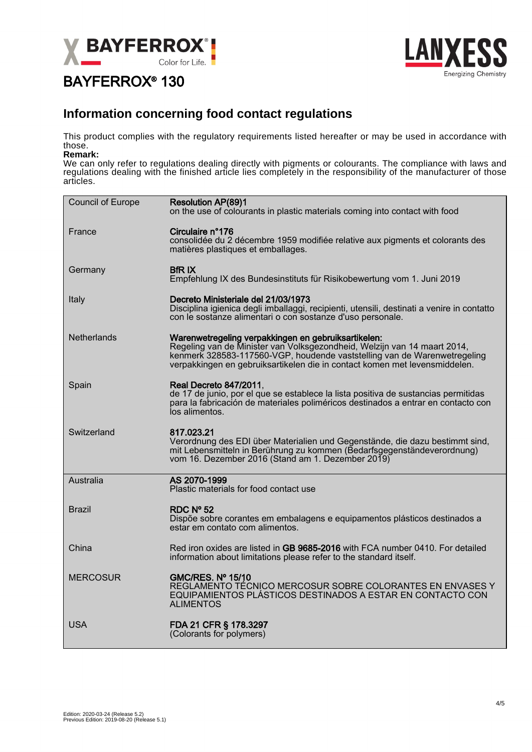



#### **Information concerning food contact regulations**

This product complies with the regulatory requirements listed hereafter or may be used in accordance with those.

#### **Remark:**

We can only refer to regulations dealing directly with pigments or colourants. The compliance with laws and regulations dealing with the finished article lies completely in the responsibility of the manufacturer of those articles.

| Council of Europe  | <b>Resolution AP(89)1</b><br>on the use of colourants in plastic materials coming into contact with food                                                                                                                                                                                  |
|--------------------|-------------------------------------------------------------------------------------------------------------------------------------------------------------------------------------------------------------------------------------------------------------------------------------------|
| France             | Circulaire n°176<br>consolidée du 2 décembre 1959 modifiée relative aux pigments et colorants des<br>matières plastiques et emballages.                                                                                                                                                   |
| Germany            | <b>BfRIX</b><br>Empfehlung IX des Bundesinstituts für Risikobewertung vom 1. Juni 2019                                                                                                                                                                                                    |
| Italy              | Decreto Ministeriale del 21/03/1973<br>Disciplina igienica degli imballaggi, recipienti, utensili, destinati a venire in contatto<br>con le sostanze alimentari o con sostanze d'uso personale.                                                                                           |
| <b>Netherlands</b> | Warenwetregeling verpakkingen en gebruiksartikelen:<br>Regeling van de Minister van Volksgezondheid, Welzijn van 14 maart 2014,<br>kenmerk 328583-117560-VGP, houdende vaststelling van de Warenwetregeling<br>verpakkingen en gebruiksartikelen die in contact komen met levensmiddelen. |
| Spain              | <b>Real Decreto 847/2011,</b><br>de 17 de junio, por el que se establece la lista positiva de sustancias permitidas<br>para la fabricación de materiales poliméricos destinados a entrar en contacto con<br>los alimentos.                                                                |
| Switzerland        | 817.023.21<br>Verordnung des EDI über Materialien und Gegenstände, die dazu bestimmt sind,<br>mit Lebensmitteln in Berührung zu kommen (Bedarfsgegenständeverordnung)<br>vom 16. Dezember 2016 (Stand am 1. Dezember 2019)                                                                |
| Australia          | AS 2070-1999<br>Plastic materials for food contact use                                                                                                                                                                                                                                    |
| Brazil             | RDC Nº 52<br>Dispõe sobre corantes em embalagens e equipamentos plásticos destinados a<br>estar em contato com alimentos.                                                                                                                                                                 |
| China              | Red iron oxides are listed in GB 9685-2016 with FCA number 0410. For detailed<br>information about limitations please refer to the standard itself.                                                                                                                                       |
| <b>MERCOSUR</b>    | <b>GMC/RES. Nº 15/10</b><br>REGLAMENTO TÉCNICO MERCOSUR SOBRE COLORANTES EN ENVASES Y<br>EQUIPAMIENTOS PLÁSTICOS DESTINADOS A ESTAR EN CONTACTO CON<br><b>ALIMENTOS</b>                                                                                                                   |
| <b>USA</b>         | FDA 21 CFR § 178.3297<br>(Colorants for polymers)                                                                                                                                                                                                                                         |